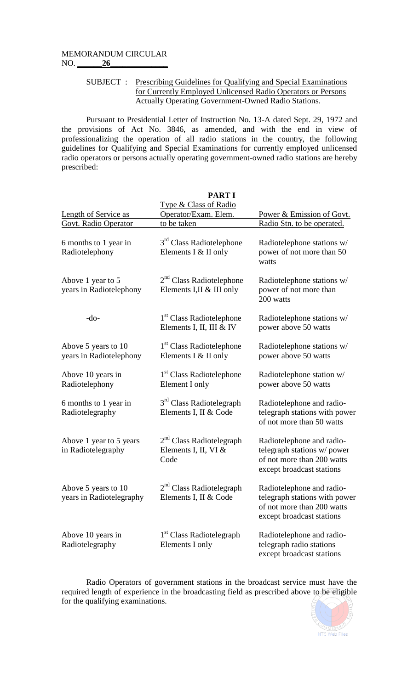## SUBJECT : Prescribing Guidelines for Qualifying and Special Examinations for Currently Employed Unlicensed Radio Operators or Persons Actually Operating Government-Owned Radio Stations.

Pursuant to Presidential Letter of Instruction No. 13-A dated Sept. 29, 1972 and the provisions of Act No. 3846, as amended, and with the end in view of professionalizing the operation of all radio stations in the country, the following guidelines for Qualifying and Special Examinations for currently employed unlicensed radio operators or persons actually operating government-owned radio stations are hereby prescribed:

**PART I**

| Length of Service as                            | <b>Type &amp; Class of Radio</b><br>Operator/Exam. Elem.         | Power & Emission of Govt.                                                                                             |  |
|-------------------------------------------------|------------------------------------------------------------------|-----------------------------------------------------------------------------------------------------------------------|--|
| <b>Govt. Radio Operator</b>                     | to be taken                                                      | Radio Stn. to be operated.                                                                                            |  |
| 6 months to 1 year in<br>Radiotelephony         | 3 <sup>rd</sup> Class Radiotelephone<br>Elements I $&$ II only   | Radiotelephone stations w/<br>power of not more than 50<br>watts                                                      |  |
| Above 1 year to 5<br>years in Radiotelephony    | $2nd$ Class Radiotelephone<br>Elements I, II & III only          | Radiotelephone stations w/<br>power of not more than<br>200 watts                                                     |  |
| $-do-$                                          | 1 <sup>st</sup> Class Radiotelephone<br>Elements I, II, III & IV | Radiotelephone stations w/<br>power above 50 watts                                                                    |  |
| Above 5 years to 10<br>years in Radiotelephony  | 1 <sup>st</sup> Class Radiotelephone<br>Elements I & II only     | Radiotelephone stations w/<br>power above 50 watts                                                                    |  |
| Above 10 years in<br>Radiotelephony             | 1 <sup>st</sup> Class Radiotelephone<br>Element I only           | Radiotelephone station w/<br>power above 50 watts                                                                     |  |
| 6 months to 1 year in<br>Radiotelegraphy        | 3 <sup>rd</sup> Class Radiotelegraph<br>Elements I, II & Code    | Radiotelephone and radio-<br>telegraph stations with power<br>of not more than 50 watts                               |  |
| Above 1 year to 5 years<br>in Radiotelegraphy   | $2nd$ Class Radiotelegraph<br>Elements I, II, VI $&$<br>Code     | Radiotelephone and radio-<br>telegraph stations w/power<br>of not more than 200 watts<br>except broadcast stations    |  |
| Above 5 years to 10<br>years in Radiotelegraphy | $2nd$ Class Radiotelegraph<br>Elements I, II & Code              | Radiotelephone and radio-<br>telegraph stations with power<br>of not more than 200 watts<br>except broadcast stations |  |
| Above 10 years in<br>Radiotelegraphy            | 1 <sup>st</sup> Class Radiotelegraph<br>Elements I only          | Radiotelephone and radio-<br>telegraph radio stations<br>except broadcast stations                                    |  |

Radio Operators of government stations in the broadcast service must have the required length of experience in the broadcasting field as prescribed above to be eligible for the qualifying examinations.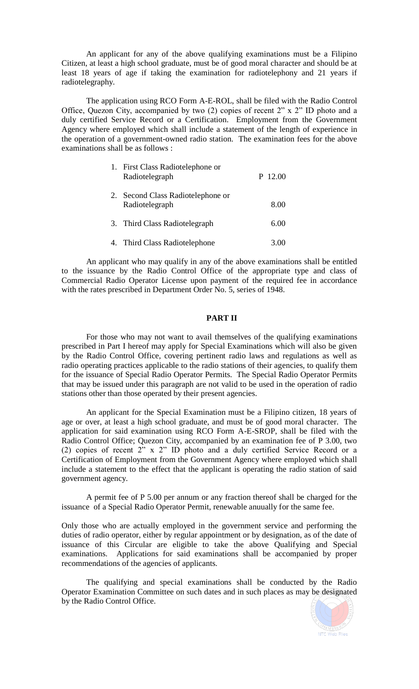An applicant for any of the above qualifying examinations must be a Filipino Citizen, at least a high school graduate, must be of good moral character and should be at least 18 years of age if taking the examination for radiotelephony and 21 years if radiotelegraphy.

The application using RCO Form A-E-ROL, shall be filed with the Radio Control Office, Quezon City, accompanied by two (2) copies of recent 2" x 2" ID photo and a duly certified Service Record or a Certification. Employment from the Government Agency where employed which shall include a statement of the length of experience in the operation of a government-owned radio station. The examination fees for the above examinations shall be as follows :

| 1. First Class Radiotelephone or<br>Radiotelegraph | P 12.00 |
|----------------------------------------------------|---------|
| Second Class Radiotelephone or<br>Radiotelegraph   | 8.00    |
| 3. Third Class Radiotelegraph                      | 6.00    |
| 4. Third Class Radiotelephone                      |         |

An applicant who may qualify in any of the above examinations shall be entitled to the issuance by the Radio Control Office of the appropriate type and class of Commercial Radio Operator License upon payment of the required fee in accordance with the rates prescribed in Department Order No. 5, series of 1948.

## **PART II**

For those who may not want to avail themselves of the qualifying examinations prescribed in Part I hereof may apply for Special Examinations which will also be given by the Radio Control Office, covering pertinent radio laws and regulations as well as radio operating practices applicable to the radio stations of their agencies, to qualify them for the issuance of Special Radio Operator Permits. The Special Radio Operator Permits that may be issued under this paragraph are not valid to be used in the operation of radio stations other than those operated by their present agencies.

An applicant for the Special Examination must be a Filipino citizen, 18 years of age or over, at least a high school graduate, and must be of good moral character. The application for said examination using RCO Form A-E-SROP, shall be filed with the Radio Control Office; Quezon City, accompanied by an examination fee of P 3.00, two (2) copies of recent 2" x 2" ID photo and a duly certified Service Record or a Certification of Employment from the Government Agency where employed which shall include a statement to the effect that the applicant is operating the radio station of said government agency.

A permit fee of P 5.00 per annum or any fraction thereof shall be charged for the issuance of a Special Radio Operator Permit, renewable anuually for the same fee.

Only those who are actually employed in the government service and performing the duties of radio operator, either by regular appointment or by designation, as of the date of issuance of this Circular are eligible to take the above Qualifying and Special examinations. Applications for said examinations shall be accompanied by proper recommendations of the agencies of applicants.

The qualifying and special examinations shall be conducted by the Radio Operator Examination Committee on such dates and in such places as may be designated by the Radio Control Office.